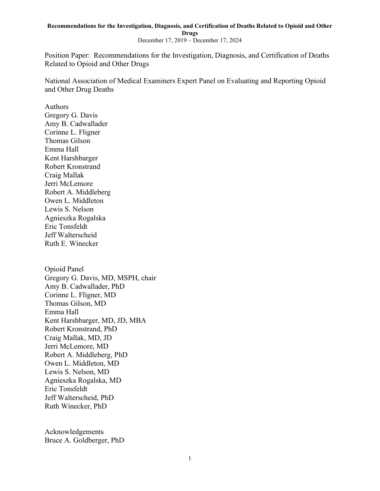December 17, 2019 – December 17, 2024

Position Paper: Recommendations for the Investigation, Diagnosis, and Certification of Deaths Related to Opioid and Other Drugs

National Association of Medical Examiners Expert Panel on Evaluating and Reporting Opioid and Other Drug Deaths

Authors Gregory G. Davis Amy B. Cadwallader Corinne L. Fligner Thomas Gilson Emma Hall Kent Harshbarger Robert Kronstrand Craig Mallak Jerri McLemore Robert A. Middleberg Owen L. Middleton Lewis S. Nelson Agnieszka Rogalska Eric Tonsfeldt Jeff Walterscheid Ruth E. Winecker

Opioid Panel Gregory G. Davis, MD, MSPH, chair Amy B. Cadwallader, PhD Corinne L. Fligner, MD Thomas Gilson, MD Emma Hall Kent Harshbarger, MD, JD, MBA Robert Kronstrand, PhD Craig Mallak, MD, JD Jerri McLemore, MD Robert A. Middleberg, PhD Owen L. Middleton, MD Lewis S. Nelson, MD Agnieszka Rogalska, MD Eric Tonsfeldt Jeff Walterscheid, PhD Ruth Winecker, PhD

Acknowledgements Bruce A. Goldberger, PhD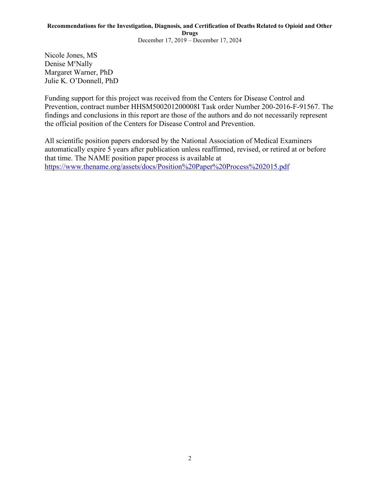Nicole Jones, MS Denise M<sup>c</sup>Nally Margaret Warner, PhD Julie K. O'Donnell, PhD

Funding support for this project was received from the Centers for Disease Control and Prevention, contract number HHSM500201200008I Task order Number 200-2016-F-91567. The findings and conclusions in this report are those of the authors and do not necessarily represent the official position of the Centers for Disease Control and Prevention.

All scientific position papers endorsed by the National Association of Medical Examiners automatically expire 5 years after publication unless reaffirmed, revised, or retired at or before that time. The NAME position paper process is available at <https://www.thename.org/assets/docs/Position%20Paper%20Process%202015.pdf>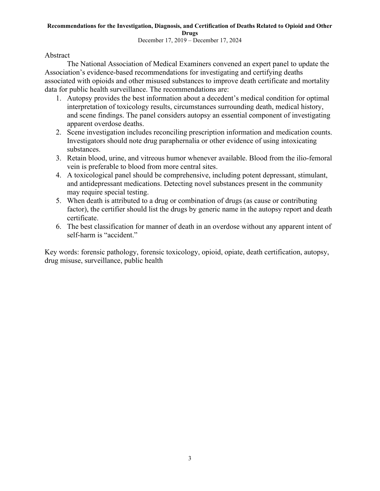December 17, 2019 – December 17, 2024

Abstract

The National Association of Medical Examiners convened an expert panel to update the Association's evidence-based recommendations for investigating and certifying deaths associated with opioids and other misused substances to improve death certificate and mortality data for public health surveillance. The recommendations are:

- 1. Autopsy provides the best information about a decedent's medical condition for optimal interpretation of toxicology results, circumstances surrounding death, medical history, and scene findings. The panel considers autopsy an essential component of investigating apparent overdose deaths.
- 2. Scene investigation includes reconciling prescription information and medication counts. Investigators should note drug paraphernalia or other evidence of using intoxicating substances.
- 3. Retain blood, urine, and vitreous humor whenever available. Blood from the ilio-femoral vein is preferable to blood from more central sites.
- 4. A toxicological panel should be comprehensive, including potent depressant, stimulant, and antidepressant medications. Detecting novel substances present in the community may require special testing.
- 5. When death is attributed to a drug or combination of drugs (as cause or contributing factor), the certifier should list the drugs by generic name in the autopsy report and death certificate.
- 6. The best classification for manner of death in an overdose without any apparent intent of self-harm is "accident."

Key words: forensic pathology, forensic toxicology, opioid, opiate, death certification, autopsy, drug misuse, surveillance, public health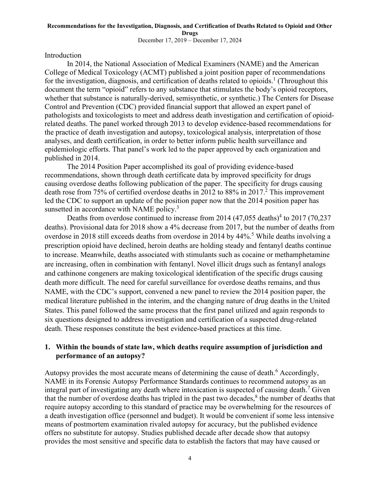### **Recommendations for the Investigation, Diagnosis, and Certification of Deaths Related to Opioid and Other Drugs** December 17, 2019 – December 17, 2024

Introduction

In 2014, the National Association of Medical Examiners (NAME) and the American College of Medical Toxicology (ACMT) published a joint position paper of recommendations for the investigation, diagnosis, and certification of deaths related to opioids.<sup>1</sup> (Throughout this document the term "opioid" refers to any substance that stimulates the body's opioid receptors, whether that substance is naturally-derived, semisynthetic, or synthetic.) The Centers for Disease Control and Prevention (CDC) provided financial support that allowed an expert panel of pathologists and toxicologists to meet and address death investigation and certification of opioidrelated deaths. The panel worked through 2013 to develop evidence-based recommendations for the practice of death investigation and autopsy, toxicological analysis, interpretation of those analyses, and death certification, in order to better inform public health surveillance and epidemiologic efforts. That panel's work led to the paper approved by each organization and published in 2014.

The 2014 Position Paper accomplished its goal of providing evidence-based recommendations, shown through death certificate data by improved specificity for drugs causing overdose deaths following publication of the paper. The specificity for drugs causing death rose from 75% of certified overdose deaths in 2012 to 88% in 2017. <sup>2</sup> This improvement led the CDC to support an update of the position paper now that the 2014 position paper has sunsetted in accordance with NAME policy.<sup>3</sup>

Deaths from overdose continued to increase from 2014  $(47,055 \text{ deaths})^4$  to 2017  $(70,237)$ deaths). Provisional data for 2018 show a 4% decrease from 2017, but the number of deaths from overdose in 2018 still exceeds deaths from overdose in 2014 by 44%. <sup>5</sup> While deaths involving a prescription opioid have declined, heroin deaths are holding steady and fentanyl deaths continue to increase. Meanwhile, deaths associated with stimulants such as cocaine or methamphetamine are increasing, often in combination with fentanyl. Novel illicit drugs such as fentanyl analogs and cathinone congeners are making toxicological identification of the specific drugs causing death more difficult. The need for careful surveillance for overdose deaths remains, and thus NAME, with the CDC's support, convened a new panel to review the 2014 position paper, the medical literature published in the interim, and the changing nature of drug deaths in the United States. This panel followed the same process that the first panel utilized and again responds to six questions designed to address investigation and certification of a suspected drug-related death. These responses constitute the best evidence-based practices at this time.

## **1. Within the bounds of state law, which deaths require assumption of jurisdiction and performance of an autopsy?**

<span id="page-3-2"></span><span id="page-3-1"></span><span id="page-3-0"></span>Autopsy provides the most accurate means of determining the cause of death.<sup>6</sup> Accordingly, NAME in its Forensic Autopsy Performance Standards continues to recommend autopsy as an integral part of investigating any death where intoxication is suspected of causing death.<sup>7</sup> Given that the number of overdose deaths has tripled in the past two decades, $<sup>8</sup>$  the number of deaths that</sup> require autopsy according to this standard of practice may be overwhelming for the resources of a death investigation office (personnel and budget). It would be convenient if some less intensive means of postmortem examination rivaled autopsy for accuracy, but the published evidence offers no substitute for autopsy. Studies published decade after decade show that autopsy provides the most sensitive and specific data to establish the factors that may have caused or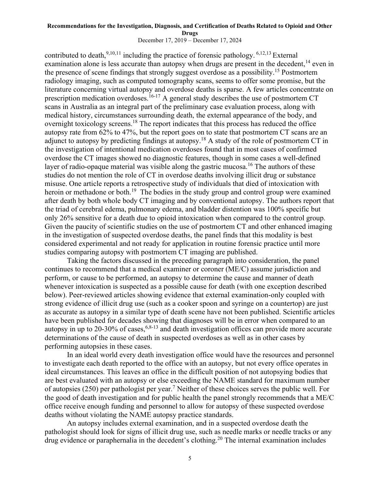<span id="page-4-2"></span><span id="page-4-1"></span><span id="page-4-0"></span>December 17, 2019 – December 17, 2024

contributed to death,  $9,10,11$  including the practice of forensic pathology.  $6,12,13$  $6,12,13$  External examination alone is less accurate than autopsy when drugs are present in the decedent,<sup>14</sup> even in the presence of scene findings that strongly suggest overdose as a possibility.<sup>15</sup> Postmortem radiology imaging, such as computed tomography scans, seems to offer some promise, but the literature concerning virtual autopsy and overdose deaths is sparse. A few articles concentrate on prescription medication overdoses.<sup>16-17</sup> A general study describes the use of postmortem CT scans in Australia as an integral part of the preliminary case evaluation process, along with medical history, circumstances surrounding death, the external appearance of the body, and overnight toxicology screens.<sup>18</sup> The report indicates that this process has reduced the office autopsy rate from 62% to 47%, but the report goes on to state that postmortem CT scans are an adjunct to autopsy by predicting findings at autopsy.<sup>[18](#page-4-0)</sup> A study of the role of postmortem CT in the investigation of intentional medication overdoses found that in most cases of confirmed overdose the CT images showed no diagnostic features, though in some cases a well-defined layer of radio-opaque material was visible along the gastric mucosa.<sup>[16](#page-4-1)</sup> The authors of these studies do not mention the role of CT in overdose deaths involving illicit drug or substance misuse. One article reports a retrospective study of individuals that died of intoxication with heroin or methadone or both.<sup>19</sup> The bodies in the study group and control group were examined after death by both whole body CT imaging and by conventional autopsy. The authors report that the triad of cerebral edema, pulmonary edema, and bladder distention was 100% specific but only 26% sensitive for a death due to opioid intoxication when compared to the control group. Given the paucity of scientific studies on the use of postmortem CT and other enhanced imaging in the investigation of suspected overdose deaths, the panel finds that this modality is best considered experimental and not ready for application in routine forensic practice until more studies comparing autopsy with postmortem CT imaging are published.

Taking the factors discussed in the preceding paragraph into consideration, the panel continues to recommend that a medical examiner or coroner (ME/C) assume jurisdiction and perform, or cause to be performed, an autopsy to determine the cause and manner of death whenever intoxication is suspected as a possible cause for death (with one exception described below). Peer-reviewed articles showing evidence that external examination-only coupled with strong evidence of illicit drug use (such as a cooker spoon and syringe on a countertop) are just as accurate as autopsy in a similar type of death scene have not been published. Scientific articles have been published for decades showing that diagnoses will be in error when compared to an autopsy in up to 20-30% of cases,  $6,8-13$  $6,8-13$  $6,8-13$  and death investigation offices can provide more accurate determinations of the cause of death in suspected overdoses as well as in other cases by performing autopsies in these cases.

In an ideal world every death investigation office would have the resources and personnel to investigate each death reported to the office with an autopsy, but not every office operates in ideal circumstances. This leaves an office in the difficult position of not autopsying bodies that are best evaluated with an autopsy or else exceeding the NAME standard for maximum number of autopsies (250) per pathologist per year.<sup>[7](#page-3-2)</sup> Neither of these choices serves the public well. For the good of death investigation and for public health the panel strongly recommends that a ME/C office receive enough funding and personnel to allow for autopsy of these suspected overdose deaths without violating the NAME autopsy practice standards.

<span id="page-4-3"></span>An autopsy includes external examination, and in a suspected overdose death the pathologist should look for signs of illicit drug use, such as needle marks or needle tracks or any drug evidence or paraphernalia in the decedent's clothing.<sup>20</sup> The internal examination includes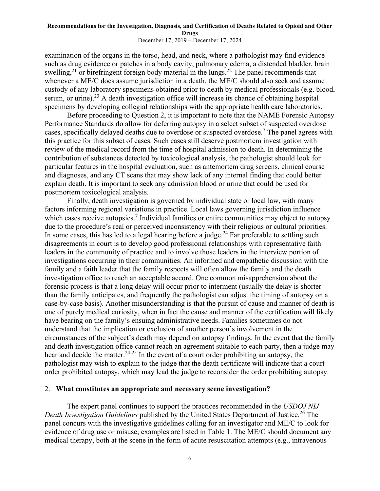<span id="page-5-2"></span>December 17, 2019 – December 17, 2024

examination of the organs in the torso, head, and neck, where a pathologist may find evidence such as drug evidence or patches in a body cavity, pulmonary edema, a distended bladder, brain swelling,<sup>21</sup> or birefringent foreign body material in the lungs.<sup>22</sup> The panel recommends that whenever a ME/C does assume jurisdiction in a death, the ME/C should also seek and assume custody of any laboratory specimens obtained prior to death by medical professionals (e.g. blood, serum, or urine).<sup>23</sup> A death investigation office will increase its chance of obtaining hospital specimens by developing collegial relationships with the appropriate health care laboratories.

<span id="page-5-1"></span>Before proceeding to Question 2, it is important to note that the NAME Forensic Autopsy Performance Standards do allow for deferring autopsy in a select subset of suspected overdose cases, specifically delayed deaths due to overdose or suspected overdose.<sup>[7](#page-3-2)</sup> The panel agrees with this practice for this subset of cases. Such cases still deserve postmortem investigation with review of the medical record from the time of hospital admission to death. In determining the contribution of substances detected by toxicological analysis, the pathologist should look for particular features in the hospital evaluation, such as antemortem drug screens, clinical course and diagnoses, and any CT scans that may show lack of any internal finding that could better explain death. It is important to seek any admission blood or urine that could be used for postmortem toxicological analysis.

<span id="page-5-0"></span>Finally, death investigation is governed by individual state or local law, with many factors informing regional variations in practice. Local laws governing jurisdiction influence which cases receive autopsies.<sup>[7](#page-3-2)</sup> Individual families or entire communities may object to autopsy due to the procedure's real or perceived inconsistency with their religious or cultural priorities. In some cases, this has led to a legal hearing before a judge.<sup>24</sup> Far preferable to settling such disagreements in court is to develop good professional relationships with representative faith leaders in the community of practice and to involve those leaders in the interview portion of investigations occurring in their communities. An informed and empathetic discussion with the family and a faith leader that the family respects will often allow the family and the death investigation office to reach an acceptable accord. One common misapprehension about the forensic process is that a long delay will occur prior to interment (usually the delay is shorter than the family anticipates, and frequently the pathologist can adjust the timing of autopsy on a case-by-case basis). Another misunderstanding is that the pursuit of cause and manner of death is one of purely medical curiosity, when in fact the cause and manner of the certification will likely have bearing on the family's ensuing administrative needs. Families sometimes do not understand that the implication or exclusion of another person's involvement in the circumstances of the subject's death may depend on autopsy findings. In the event that the family and death investigation office cannot reach an agreement suitable to each party, then a judge may hear and decide the matter.<sup>[24-](#page-5-0)25</sup> In the event of a court order prohibiting an autopsy, the pathologist may wish to explain to the judge that the death certificate will indicate that a court order prohibited autopsy, which may lead the judge to reconsider the order prohibiting autopsy.

## 2. **What constitutes an appropriate and necessary scene investigation?**

The expert panel continues to support the practices recommended in the *USDOJ NIJ Death Investigation Guidelines* published by the United States Department of Justice. <sup>26</sup> The panel concurs with the investigative guidelines calling for an investigator and ME/C to look for evidence of drug use or misuse; examples are listed in Table 1. The ME/C should document any medical therapy, both at the scene in the form of acute resuscitation attempts (e.g., intravenous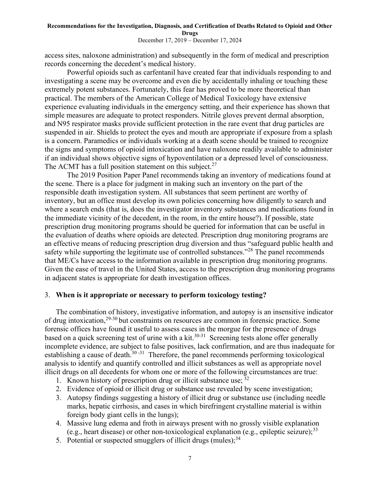December 17, 2019 – December 17, 2024

access sites, naloxone administration) and subsequently in the form of medical and prescription records concerning the decedent's medical history.

Powerful opioids such as carfentanil have created fear that individuals responding to and investigating a scene may be overcome and even die by accidentally inhaling or touching these extremely potent substances. Fortunately, this fear has proved to be more theoretical than practical. The members of the American College of Medical Toxicology have extensive experience evaluating individuals in the emergency setting, and their experience has shown that simple measures are adequate to protect responders. Nitrile gloves prevent dermal absorption, and N95 respirator masks provide sufficient protection in the rare event that drug particles are suspended in air. Shields to protect the eyes and mouth are appropriate if exposure from a splash is a concern. Paramedics or individuals working at a death scene should be trained to recognize the signs and symptoms of opioid intoxication and have naloxone readily available to administer if an individual shows objective signs of hypoventilation or a depressed level of consciousness. The ACMT has a full position statement on this subject.<sup>27</sup>

The 2019 Position Paper Panel recommends taking an inventory of medications found at the scene. There is a place for judgment in making such an inventory on the part of the responsible death investigation system. All substances that seem pertinent are worthy of inventory, but an office must develop its own policies concerning how diligently to search and where a search ends (that is, does the investigator inventory substances and medications found in the immediate vicinity of the decedent, in the room, in the entire house?). If possible, state prescription drug monitoring programs should be queried for information that can be useful in the evaluation of deaths where opioids are detected. Prescription drug monitoring programs are an effective means of reducing prescription drug diversion and thus "safeguard public health and safety while supporting the legitimate use of controlled substances."<sup>28</sup> The panel recommends that ME/Cs have access to the information available in prescription drug monitoring programs. Given the ease of travel in the United States, access to the prescription drug monitoring programs in adjacent states is appropriate for death investigation offices.

## 3. **When is it appropriate or necessary to perform toxicology testing?**

<span id="page-6-0"></span>The combination of history, investigative information, and autopsy is an insensitive indicator of drug intoxication,29-30 but constraints on resources are common in forensic practice. Some forensic offices have found it useful to assess cases in the morgue for the presence of drugs based on a quick screening test of urine with a kit.<sup>[30-](#page-6-0)31</sup> Screening tests alone offer generally incomplete evidence, are subject to false positives, lack confirmation, and are thus inadequate for establishing a cause of death.<sup>[30](#page-6-0)[-31](#page-6-1)</sup> Therefore, the panel recommends performing toxicological analysis to identify and quantify controlled and illicit substances as well as appropriate novel illicit drugs on all decedents for whom one or more of the following circumstances are true:

- <span id="page-6-1"></span>1. Known history of prescription drug or illicit substance use; 32
- 2. Evidence of opioid or illicit drug or substance use revealed by scene investigation;
- 3. Autopsy findings suggesting a history of illicit drug or substance use (including needle marks, hepatic cirrhosis, and cases in which birefringent crystalline material is within foreign body giant cells in the lungs);
- 4. Massive lung edema and froth in airways present with no grossly visible explanation (e.g., heart disease) or other non-toxicological explanation (e.g., epileptic seizure);<sup>33</sup>
- 5. Potential or suspected smugglers of illicit drugs (mules);  $34$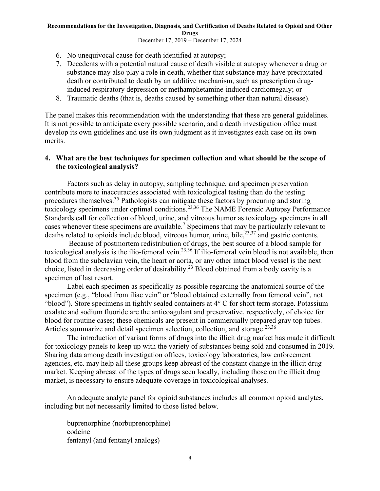December 17, 2019 – December 17, 2024

- 6. No unequivocal cause for death identified at autopsy;
- 7. Decedents with a potential natural cause of death visible at autopsy whenever a drug or substance may also play a role in death, whether that substance may have precipitated death or contributed to death by an additive mechanism, such as prescription druginduced respiratory depression or methamphetamine-induced cardiomegaly; or
- 8. Traumatic deaths (that is, deaths caused by something other than natural disease).

The panel makes this recommendation with the understanding that these are general guidelines. It is not possible to anticipate every possible scenario, and a death investigation office must develop its own guidelines and use its own judgment as it investigates each case on its own merits.

## **4. What are the best techniques for specimen collection and what should be the scope of the toxicological analysis?**

<span id="page-7-0"></span>Factors such as delay in autopsy, sampling technique, and specimen preservation contribute more to inaccuracies associated with toxicological testing than do the testing procedures themselves.<sup>35</sup> Pathologists can mitigate these factors by procuring and storing toxicology specimens under optimal conditions.[23,3](#page-5-1)6 The NAME Forensic Autopsy Performance Standards call for collection of blood, urine, and vitreous humor as toxicology specimens in all cases whenever these specimens are available.<sup>[7](#page-3-2)</sup> Specimens that may be particularly relevant to deaths related to opioids include blood, vitreous humor, urine, bile,  $2^{3,37}$  and gastric contents.

Because of postmortem redistribution of drugs, the best source of a blood sample for toxicological analysis is the ilio-femoral vein.[23](#page-5-1)[,36](#page-7-0) If ilio-femoral vein blood is not available, then blood from the subclavian vein, the heart or aorta, or any other intact blood vessel is the next choice, listed in decreasing order of desirability.<sup>[23](#page-5-1)</sup> Blood obtained from a body cavity is a specimen of last resort.

Label each specimen as specifically as possible regarding the anatomical source of the specimen (e.g., "blood from iliac vein" or "blood obtained externally from femoral vein", not "blood"). Store specimens in tightly sealed containers at 4° C for short term storage. Potassium oxalate and sodium fluoride are the anticoagulant and preservative, respectively, of choice for blood for routine cases; these chemicals are present in commercially prepared gray top tubes. Articles summarize and detail specimen selection, collection, and storage.<sup>[23](#page-5-1)[,36](#page-7-0)</sup>

The introduction of variant forms of drugs into the illicit drug market has made it difficult for toxicology panels to keep up with the variety of substances being sold and consumed in 2019. Sharing data among death investigation offices, toxicology laboratories, law enforcement agencies, etc. may help all these groups keep abreast of the constant change in the illicit drug market. Keeping abreast of the types of drugs seen locally, including those on the illicit drug market, is necessary to ensure adequate coverage in toxicological analyses.

An adequate analyte panel for opioid substances includes all common opioid analytes, including but not necessarily limited to those listed below.

buprenorphine (norbuprenorphine) codeine fentanyl (and fentanyl analogs)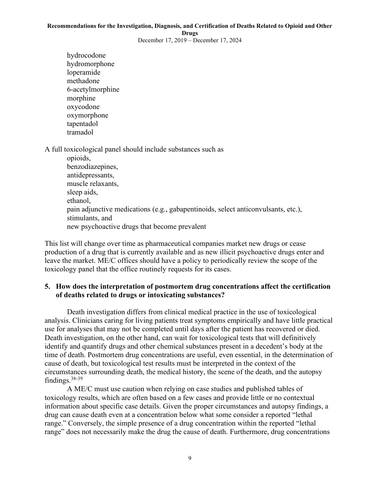December 17, 2019 – December 17, 2024

hydrocodone hydromorphone loperamide methadone 6-acetylmorphine morphine oxycodone oxymorphone tapentadol tramadol

A full toxicological panel should include substances such as

opioids, benzodiazepines, antidepressants, muscle relaxants, sleep aids, ethanol, pain adjunctive medications (e.g., gabapentinoids, select anticonvulsants, etc.), stimulants, and new psychoactive drugs that become prevalent

This list will change over time as pharmaceutical companies market new drugs or cease production of a drug that is currently available and as new illicit psychoactive drugs enter and leave the market. ME/C offices should have a policy to periodically review the scope of the toxicology panel that the office routinely requests for its cases.

## **5. How does the interpretation of postmortem drug concentrations affect the certification of deaths related to drugs or intoxicating substances?**

Death investigation differs from clinical medical practice in the use of toxicological analysis. Clinicians caring for living patients treat symptoms empirically and have little practical use for analyses that may not be completed until days after the patient has recovered or died. Death investigation, on the other hand, can wait for toxicological tests that will definitively identify and quantify drugs and other chemical substances present in a decedent's body at the time of death. Postmortem drug concentrations are useful, even essential, in the determination of cause of death, but toxicological test results must be interpreted in the context of the circumstances surrounding death, the medical history, the scene of the death, and the autopsy findings.<sup>38-39</sup>

A ME/C must use caution when relying on case studies and published tables of toxicology results, which are often based on a few cases and provide little or no contextual information about specific case details. Given the proper circumstances and autopsy findings, a drug can cause death even at a concentration below what some consider a reported "lethal range." Conversely, the simple presence of a drug concentration within the reported "lethal range" does not necessarily make the drug the cause of death. Furthermore, drug concentrations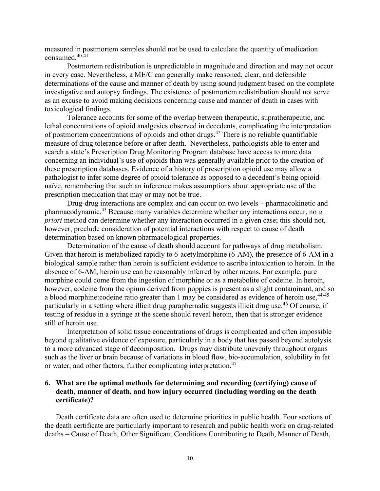measured in postmortem samples should not be used to calculate the quantity of medication consumed. 40-41

Postmortem redistribution is unpredictable in magnitude and direction and may not occur in every case. Nevertheless, a ME/C can generally make reasoned, clear, and defensible determinations of the cause and manner of death by using sound judgment based on the complete investigative and autopsy findings. The existence of postmortem redistribution should not serve as an excuse to avoid making decisions concerning cause and manner of death in cases with toxicological findings.

Tolerance accounts for some of the overlap between therapeutic, supratherapeutic, and lethal concentrations of opioid analgesics observed in decedents, complicating the interpretation of postmortem concentrations of opioids and other drugs.<sup>42</sup> There is no reliable quantifiable measure of drug tolerance before or after death. Nevertheless, pathologists able to enter and search a state's Prescription Drug Monitoring Program database have access to more data concerning an individual's use of opioids than was generally available prior to the creation of these prescription databases. Evidence of a history of prescription opioid use may allow a pathologist to infer some degree of opioid tolerance as opposed to a decedent's being opioidnaïve, remembering that such an inference makes assumptions about appropriate use of the prescription medication that may or may not be true.

Drug-drug interactions are complex and can occur on two levels – pharmacokinetic and pharmacodynamic.<sup>43</sup> Because many variables determine whether any interactions occur, no *a priori* method can determine whether any interaction occurred in a given case; this should not, however, preclude consideration of potential interactions with respect to cause of death determination based on known pharmacological properties.

Determination of the cause of death should account for pathways of drug metabolism. Given that heroin is metabolized rapidly to 6-acetylmorphine (6-AM), the presence of 6-AM in a biological sample rather than heroin is sufficient evidence to ascribe intoxication to heroin. In the absence of 6-AM, heroin use can be reasonably inferred by other means. For example, pure morphine could come from the ingestion of morphine or as a metabolite of codeine. In heroin, however, codeine from the opium derived from poppies is present as a slight contaminant, and so a blood morphine: codeine ratio greater than 1 may be considered as evidence of heroin use, <sup>44-45</sup> particularly in a setting where illicit drug paraphernalia suggests illicit drug use.<sup>46</sup> Of course, if testing of residue in a syringe at the scene should reveal heroin, then that is stronger evidence still of heroin use.

Interpretation of solid tissue concentrations of drugs is complicated and often impossible beyond qualitative evidence of exposure, particularly in a body that has passed beyond autolysis to a more advanced stage of decomposition. Drugs may distribute unevenly throughout organs such as the liver or brain because of variations in blood flow, bio-accumulation, solubility in fat or water, and other factors, further complicating interpretation.<sup>47</sup>

## **6. What are the optimal methods for determining and recording (certifying) cause of death, manner of death, and how injury occurred (including wording on the death certificate)?**

Death certificate data are often used to determine priorities in public health. Four sections of the death certificate are particularly important to research and public health work on drug-related deaths – Cause of Death, Other Significant Conditions Contributing to Death, Manner of Death,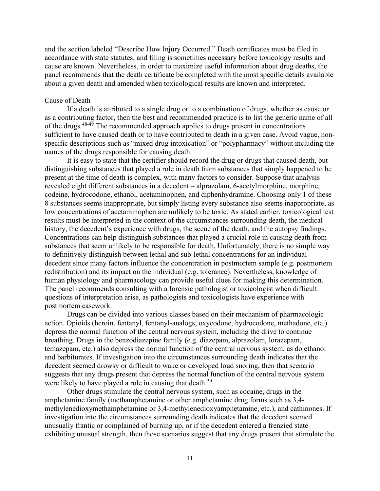and the section labeled "Describe How Injury Occurred." Death certificates must be filed in accordance with state statutes, and filing is sometimes necessary before toxicology results and cause are known. Nevertheless, in order to maximize useful information about drug deaths, the panel recommends that the death certificate be completed with the most specific details available about a given death and amended when toxicological results are known and interpreted.

## Cause of Death

<span id="page-10-0"></span>If a death is attributed to a single drug or to a combination of drugs, whether as cause or as a contributing factor, then the best and recommended practice is to list the generic name of all of the drugs.<sup>48-49</sup> The recommended approach applies to drugs present in concentrations sufficient to have caused death or to have contributed to death in a given case. Avoid vague, nonspecific descriptions such as "mixed drug intoxication" or "polypharmacy" without including the names of the drugs responsible for causing death.

It is easy to state that the certifier should record the drug or drugs that caused death, but distinguishing substances that played a role in death from substances that simply happened to be present at the time of death is complex, with many factors to consider. Suppose that analysis revealed eight different substances in a decedent – alprazolam, 6-acetylmorphine, morphine, codeine, hydrocodone, ethanol, acetaminophen, and diphenhydramine. Choosing only 1 of these 8 substances seems inappropriate, but simply listing every substance also seems inappropriate, as low concentrations of acetaminophen are unlikely to be toxic. As stated earlier, toxicological test results must be interpreted in the context of the circumstances surrounding death, the medical history, the decedent's experience with drugs, the scene of the death, and the autopsy findings. Concentrations can help distinguish substances that played a crucial role in causing death from substances that seem unlikely to be responsible for death. Unfortunately, there is no simple way to definitively distinguish between lethal and sub-lethal concentrations for an individual decedent since many factors influence the concentration in postmortem sample (e.g. postmortem redistribution) and its impact on the individual (e.g. tolerance). Nevertheless, knowledge of human physiology and pharmacology can provide useful clues for making this determination. The panel recommends consulting with a forensic pathologist or toxicologist when difficult questions of interpretation arise, as pathologists and toxicologists have experience with postmortem casework.

Drugs can be divided into various classes based on their mechanism of pharmacologic action. Opioids (heroin, fentanyl, fentanyl-analogs, oxycodone, hydrocodone, methadone, etc.) depress the normal function of the central nervous system, including the drive to continue breathing. Drugs in the benzodiazepine family (e.g. diazepam, alprazolam, lorazepam, temazepam, etc.) also depress the normal function of the central nervous system, as do ethanol and barbiturates. If investigation into the circumstances surrounding death indicates that the decedent seemed drowsy or difficult to wake or developed loud snoring, then that scenario suggests that any drugs present that depress the normal function of the central nervous system were likely to have played a role in causing that death.<sup>[20](#page-4-3)</sup>

Other drugs stimulate the central nervous system, such as cocaine, drugs in the amphetamine family (methamphetamine or other amphetamine drug forms such as 3,4 methylenedioxymethamphetamine or 3,4-methylenedioxyamphetamine, etc.), and cathinones. If investigation into the circumstances surrounding death indicates that the decedent seemed unusually frantic or complained of burning up, or if the decedent entered a frenzied state exhibiting unusual strength, then those scenarios suggest that any drugs present that stimulate the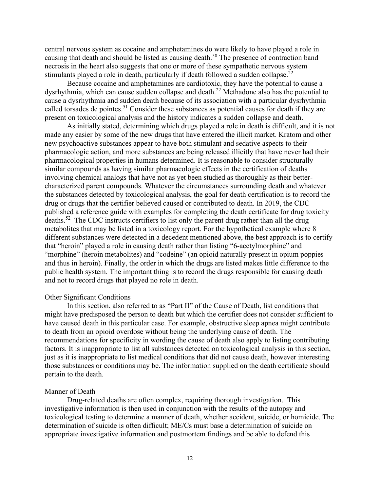central nervous system as cocaine and amphetamines do were likely to have played a role in causing that death and should be listed as causing death.<sup>50</sup> The presence of contraction band necrosis in the heart also suggests that one or more of these sympathetic nervous system stimulants played a role in death, particularly if death followed a sudden collapse.<sup>[22](#page-5-2)</sup>

Because cocaine and amphetamines are cardiotoxic, they have the potential to cause a dysrhythmia, which can cause sudden collapse and death.<sup>[22](#page-5-2)</sup> Methadone also has the potential to cause a dysrhythmia and sudden death because of its association with a particular dysrhythmia called torsades de pointes.<sup>51</sup> Consider these substances as potential causes for death if they are present on toxicological analysis and the history indicates a sudden collapse and death.

As initially stated, determining which drugs played a role in death is difficult, and it is not made any easier by some of the new drugs that have entered the illicit market. Kratom and other new psychoactive substances appear to have both stimulant and sedative aspects to their pharmacologic action, and more substances are being released illicitly that have never had their pharmacological properties in humans determined. It is reasonable to consider structurally similar compounds as having similar pharmacologic effects in the certification of deaths involving chemical analogs that have not as yet been studied as thoroughly as their bettercharacterized parent compounds. Whatever the circumstances surrounding death and whatever the substances detected by toxicological analysis, the goal for death certification is to record the drug or drugs that the certifier believed caused or contributed to death. In 2019, the CDC published a reference guide with examples for completing the death certificate for drug toxicity deaths.<sup>52</sup> The CDC instructs certifiers to list only the parent drug rather than all the drug metabolites that may be listed in a toxicology report. For the hypothetical example where 8 different substances were detected in a decedent mentioned above, the best approach is to certify that "heroin" played a role in causing death rather than listing "6-acetylmorphine" and "morphine" (heroin metabolites) and "codeine" (an opioid naturally present in opium poppies and thus in heroin). Finally, the order in which the drugs are listed makes little difference to the public health system. The important thing is to record the drugs responsible for causing death and not to record drugs that played no role in death.

### <span id="page-11-0"></span>Other Significant Conditions

In this section, also referred to as "Part II" of the Cause of Death, list conditions that might have predisposed the person to death but which the certifier does not consider sufficient to have caused death in this particular case. For example, obstructive sleep apnea might contribute to death from an opioid overdose without being the underlying cause of death. The recommendations for specificity in wording the cause of death also apply to listing contributing factors. It is inappropriate to list all substances detected on toxicological analysis in this section, just as it is inappropriate to list medical conditions that did not cause death, however interesting those substances or conditions may be. The information supplied on the death certificate should pertain to the death.

### Manner of Death

Drug-related deaths are often complex, requiring thorough investigation. This investigative information is then used in conjunction with the results of the autopsy and toxicological testing to determine a manner of death, whether accident, suicide, or homicide. The determination of suicide is often difficult; ME/Cs must base a determination of suicide on appropriate investigative information and postmortem findings and be able to defend this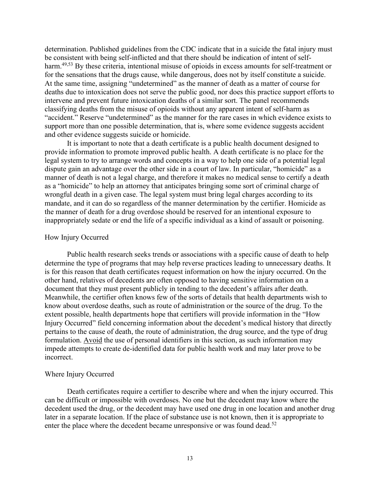determination. Published guidelines from the CDC indicate that in a suicide the fatal injury must be consistent with being self-inflicted and that there should be indication of intent of self-harm.<sup>[49,5](#page-10-0)3</sup> By these criteria, intentional misuse of opioids in excess amounts for self-treatment or for the sensations that the drugs cause, while dangerous, does not by itself constitute a suicide. At the same time, assigning "undetermined" as the manner of death as a matter of course for deaths due to intoxication does not serve the public good, nor does this practice support efforts to intervene and prevent future intoxication deaths of a similar sort. The panel recommends classifying deaths from the misuse of opioids without any apparent intent of self-harm as "accident." Reserve "undetermined" as the manner for the rare cases in which evidence exists to support more than one possible determination, that is, where some evidence suggests accident and other evidence suggests suicide or homicide.

It is important to note that a death certificate is a public health document designed to provide information to promote improved public health. A death certificate is no place for the legal system to try to arrange words and concepts in a way to help one side of a potential legal dispute gain an advantage over the other side in a court of law. In particular, "homicide" as a manner of death is not a legal charge, and therefore it makes no medical sense to certify a death as a "homicide" to help an attorney that anticipates bringing some sort of criminal charge of wrongful death in a given case. The legal system must bring legal charges according to its mandate, and it can do so regardless of the manner determination by the certifier. Homicide as the manner of death for a drug overdose should be reserved for an intentional exposure to inappropriately sedate or end the life of a specific individual as a kind of assault or poisoning.

### How Injury Occurred

Public health research seeks trends or associations with a specific cause of death to help determine the type of programs that may help reverse practices leading to unnecessary deaths. It is for this reason that death certificates request information on how the injury occurred. On the other hand, relatives of decedents are often opposed to having sensitive information on a document that they must present publicly in tending to the decedent's affairs after death. Meanwhile, the certifier often knows few of the sorts of details that health departments wish to know about overdose deaths, such as route of administration or the source of the drug. To the extent possible, health departments hope that certifiers will provide information in the "How Injury Occurred" field concerning information about the decedent's medical history that directly pertains to the cause of death, the route of administration, the drug source, and the type of drug formulation. Avoid the use of personal identifiers in this section, as such information may impede attempts to create de-identified data for public health work and may later prove to be incorrect.

### Where Injury Occurred

Death certificates require a certifier to describe where and when the injury occurred. This can be difficult or impossible with overdoses. No one but the decedent may know where the decedent used the drug, or the decedent may have used one drug in one location and another drug later in a separate location. If the place of substance use is not known, then it is appropriate to enter the place where the decedent became unresponsive or was found dead.<sup>[52](#page-11-0)</sup>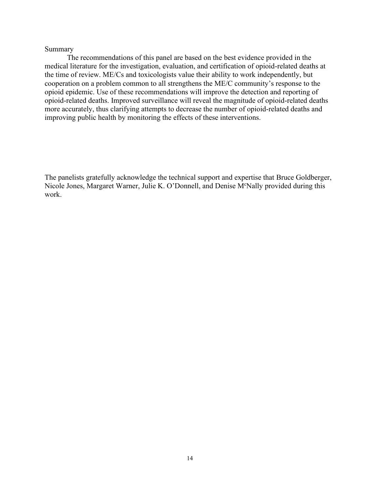## Summary

The recommendations of this panel are based on the best evidence provided in the medical literature for the investigation, evaluation, and certification of opioid-related deaths at the time of review. ME/Cs and toxicologists value their ability to work independently, but cooperation on a problem common to all strengthens the ME/C community's response to the opioid epidemic. Use of these recommendations will improve the detection and reporting of opioid-related deaths. Improved surveillance will reveal the magnitude of opioid-related deaths more accurately, thus clarifying attempts to decrease the number of opioid-related deaths and improving public health by monitoring the effects of these interventions.

The panelists gratefully acknowledge the technical support and expertise that Bruce Goldberger, Nicole Jones, Margaret Warner, Julie K. O'Donnell, and Denise M<sup>c</sup>Nally provided during this work.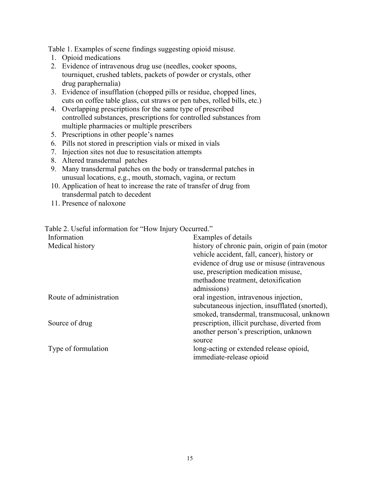Table 1. Examples of scene findings suggesting opioid misuse.

- 1. Opioid medications
- 2. Evidence of intravenous drug use (needles, cooker spoons, tourniquet, crushed tablets, packets of powder or crystals, other drug paraphernalia)
- 3. Evidence of insufflation (chopped pills or residue, chopped lines, cuts on coffee table glass, cut straws or pen tubes, rolled bills, etc.)
- 4. Overlapping prescriptions for the same type of prescribed controlled substances, prescriptions for controlled substances from multiple pharmacies or multiple prescribers
- 5. Prescriptions in other people's names
- 6. Pills not stored in prescription vials or mixed in vials
- 7. Injection sites not due to resuscitation attempts
- 8. Altered transdermal patches
- 9. Many transdermal patches on the body or transdermal patches in unusual locations, e.g., mouth, stomach, vagina, or rectum
- 10. Application of heat to increase the rate of transfer of drug from transdermal patch to decedent
- 11. Presence of naloxone

Table 2. Useful information for "How Injury Occurred."

| Information<br>Medical history | Examples of details<br>history of chronic pain, origin of pain (motor<br>vehicle accident, fall, cancer), history or<br>evidence of drug use or misuse (intravenous |
|--------------------------------|---------------------------------------------------------------------------------------------------------------------------------------------------------------------|
|                                | use, prescription medication misuse,<br>methadone treatment, detoxification<br>admissions)                                                                          |
| Route of administration        | oral ingestion, intravenous injection,<br>subcutaneous injection, insufflated (snorted),<br>smoked, transdermal, transmucosal, unknown                              |
| Source of drug                 | prescription, illicit purchase, diverted from<br>another person's prescription, unknown<br>source                                                                   |
| Type of formulation            | long-acting or extended release opioid,<br>immediate-release opioid                                                                                                 |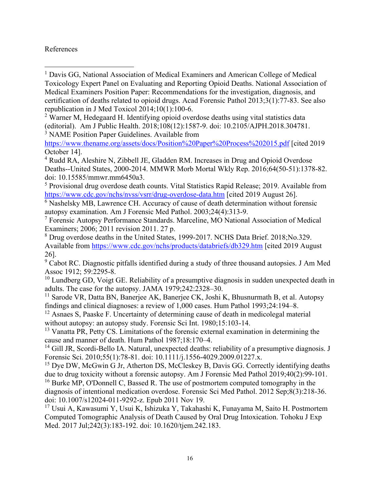## References

<sup>2</sup> Warner M, Hedegaard H. Identifying opioid overdose deaths using vital statistics data (editorial). Am J Public Health. 2018;108(12):1587-9. doi: 10.2105/AJPH.2018.304781. <sup>3</sup> NAME Position Paper Guidelines. Available from

<https://www.thename.org/assets/docs/Position%20Paper%20Process%202015.pdf> [cited 2019 October 14].

<sup>4</sup> Rudd RA, Aleshire N, Zibbell JE, Gladden RM. Increases in Drug and Opioid Overdose Deaths--United States, 2000-2014. MMWR Morb Mortal Wkly Rep. 2016;64(50-51):1378-82. doi: 10.15585/mmwr.mm6450a3.

<sup>5</sup> Provisional drug overdose death counts. Vital Statistics Rapid Release; 2019. Available from <https://www.cdc.gov/nchs/nvss/vsrr/drug-overdose-data.htm> [cited 2019 August 26].

 $\overline{6}$  Nashelsky MB, Lawrence CH. Accuracy of cause of death determination without forensic autopsy examination. Am J Forensic Med Pathol. 2003;24(4):313-9.

<sup>7</sup> Forensic Autopsy Performance Standards. Marceline, MO National Association of Medical Examiners; 2006; 2011 revision 2011. 27 p.

<sup>8</sup> Drug overdose deaths in the United States, 1999-2017. NCHS Data Brief. 2018;No.329. Available from <https://www.cdc.gov/nchs/products/databriefs/db329.htm> [cited 2019 August 26].

 $9$  Cabot RC. Diagnostic pitfalls identified during a study of three thousand autopsies. J Am Med Assoc 1912; 59:2295-8.

 $10$  Lundberg GD, Voigt GE. Reliability of a presumptive diagnosis in sudden unexpected death in adults. The case for the autopsy. JAMA 1979;242:2328–30.

<sup>11</sup> Sarode VR, Datta BN, Banerjee AK, Banerjee CK, Joshi K, Bhusnurmath B, et al. Autopsy findings and clinical diagnoses: a review of 1,000 cases. Hum Pathol 1993;24:194–8.

<sup>12</sup> Asnaes S, Paaske F. Uncertainty of determining cause of death in medicolegal material without autopsy: an autopsy study. Forensic Sci Int. 1980;15:103-14.

<sup>13</sup> Vanatta PR, Petty CS. Limitations of the forensic external examination in determining the cause and manner of death. Hum Pathol 1987;18:170–4.

<sup>14</sup> Gill JR, Scordi-Bello IA. Natural, unexpected deaths: reliability of a presumptive diagnosis. J Forensic Sci. 2010;55(1):78-81. doi: 10.1111/j.1556-4029.2009.01227.x.

<sup>15</sup> Dye DW, McGwin G Jr, Atherton DS, McCleskey B, Davis GG. Correctly identifying deaths due to drug toxicity without a forensic autopsy. Am J Forensic Med Pathol 2019;40(2):99-101.

<sup>16</sup> Burke MP, O'Donnell C, Bassed R. The use of postmortem computed tomography in the diagnosis of intentional medication overdose. Forensic Sci Med Pathol. 2012 Sep;8(3):218-36. doi: 10.1007/s12024-011-9292-z. Epub 2011 Nov 19.

<sup>17</sup> Usui A, Kawasumi Y, Usui K, Ishizuka Y, Takahashi K, Funayama M, Saito H. Postmortem Computed Tomographic Analysis of Death Caused by Oral Drug Intoxication. Tohoku J Exp Med. 2017 Jul;242(3):183-192. doi: 10.1620/tjem.242.183.

<sup>&</sup>lt;sup>1</sup> Davis GG, National Association of Medical Examiners and American College of Medical Toxicology Expert Panel on Evaluating and Reporting Opioid Deaths. National Association of Medical Examiners Position Paper: Recommendations for the investigation, diagnosis, and certification of deaths related to opioid drugs. Acad Forensic Pathol 2013;3(1):77-83. See also republication in J Med Toxicol 2014;10(1):100-6.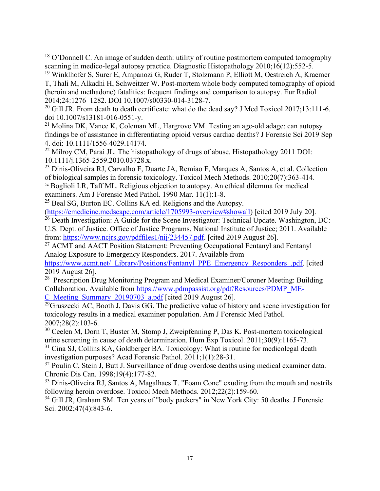$18$  O'Donnell C. An image of sudden death: utility of routine postmortem computed tomography scanning in medico-legal autopsy practice. Diagnostic Histopathology 2010;16(12):552-5.

<sup>19</sup> Winklhofer S, Surer E, Ampanozi G, Ruder T, Stolzmann P, Elliott M, Oestreich A, Kraemer T, Thali M, Alkadhi H, Schweitzer W. Post-mortem whole body computed tomography of opioid (heroin and methadone) fatalities: frequent findings and comparison to autopsy. Eur Radiol 2014;24:1276–1282. DOI 10.1007/s00330-014-3128-7.

<sup>20</sup> Gill JR. From death to death certificate: what do the dead say? J Med Toxicol 2017;13:111-6. doi 10.1007/s13181-016-0551-y.

<sup>21</sup> Molina DK, Vance K, Coleman ML, Hargrove VM. Testing an age-old adage: can autopsy findings be of assistance in differentiating opioid versus cardiac deaths? J Forensic Sci 2019 Sep 4. doi: 10.1111/1556-4029.14174.

<sup>22</sup> Milroy CM, Parai JL. The histopathology of drugs of abuse. Histopathology 2011 DOI: 10.1111/j.1365-2559.2010.03728.x.

<sup>23</sup> Dinis-Oliveira RJ, Carvalho F, Duarte JA, Remiao F, Marques A, Santos A, et al. Collection of biological samples in forensic toxicology. Toxicol Mech Methods. 2010;20(7):363-414. <sup>24</sup> Boglioli LR, Taff ML. Religious objection to autopsy. An ethical dilemma for medical examiners. Am J Forensic Med Pathol. 1990 Mar. 11(1):1-8.

<sup>25</sup> Beal SG, Burton EC. Collins KA ed. Religions and the Autopsy.

[\(https://emedicine.medscape.com/article/1705993-overview#showall\)](https://emedicine.medscape.com/article/1705993-overview#showall) [cited 2019 July 20].

 $26$  Death Investigation: A Guide for the Scene Investigator: Technical Update. Washington, DC: U.S. Dept. of Justice. Office of Justice Programs. National Institute of Justice; 2011. Available from: [https://www.ncjrs.gov/pdffiles1/nij/234457.pdf.](https://www.ncjrs.gov/pdffiles1/nij/234457.pdf) [cited 2019 August 26].

<sup>27</sup> ACMT and AACT Position Statement: Preventing Occupational Fentanyl and Fentanyl Analog Exposure to Emergency Responders. 2017. Available from

[https://www.acmt.net/\\_Library/Positions/Fentanyl\\_PPE\\_Emergency\\_Responders\\_.pdf.](https://www.acmt.net/_Library/Positions/Fentanyl_PPE_Emergency_Responders_.pdf) [cited] 2019 August 26].

<sup>28</sup> Prescription Drug Monitoring Program and Medical Examiner/Coroner Meeting: Building Collaboration. Available from [https://www.pdmpassist.org/pdf/Resources/PDMP\\_ME-](https://www.pdmpassist.org/pdf/Resources/PDMP_ME-C_Meeting_Summary_20190703_a.pdf)[C\\_Meeting\\_Summary\\_20190703\\_a.pdf](https://www.pdmpassist.org/pdf/Resources/PDMP_ME-C_Meeting_Summary_20190703_a.pdf) [cited 2019 August 26].

 $^{29}$ Gruszecki AC, Booth J, Davis GG. The predictive value of history and scene investigation for toxicology results in a medical examiner population. Am J Forensic Med Pathol. 2007;28(2):103-6.

<sup>30</sup> Ceelen M, Dorn T, Buster M, Stomp J, Zweipfenning P, Das K. Post-mortem toxicological urine screening in cause of death determination. Hum Exp Toxicol. 2011;30(9):1165-73.

<sup>31</sup> Cina SJ, Collins KA, Goldberger BA. Toxicology: What is routine for medicolegal death investigation purposes? Acad Forensic Pathol. 2011;1(1):28-31.

 $32$  Poulin C, Stein J, Butt J. Surveillance of drug overdose deaths using medical examiner data. Chronic Dis Can. 1998;19(4):177-82.

<sup>33</sup> Dinis-Oliveira RJ, Santos A, Magalhaes T. "Foam Cone" exuding from the mouth and nostrils following heroin overdose. Toxicol Mech Methods. 2012;22(2):159-60.

<sup>34</sup> Gill JR, Graham SM. Ten years of "body packers" in New York City: 50 deaths. J Forensic Sci. 2002;47(4):843-6.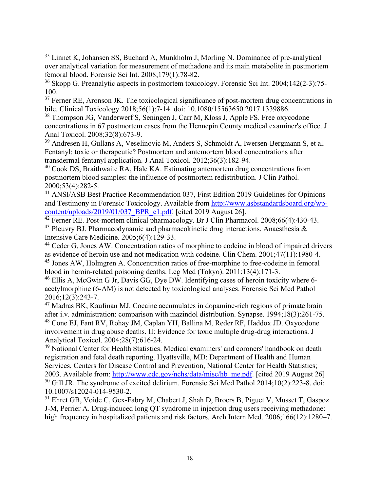<sup>35</sup> Linnet K, Johansen SS, Buchard A, Munkholm J, Morling N. Dominance of pre-analytical over analytical variation for measurement of methadone and its main metabolite in postmortem femoral blood. Forensic Sci Int. 2008;179(1):78-82.

<sup>36</sup> Skopp G. Preanalytic aspects in postmortem toxicology. Forensic Sci Int. 2004;142(2-3):75- 100.

 $37$  Ferner RE, Aronson JK. The toxicological significance of post-mortem drug concentrations in bile. Clinical Toxicology 2018;56(1):7-14. doi: 10.1080/15563650.2017.1339886.

<sup>38</sup> Thompson JG, Vanderwerf S, Seningen J, Carr M, Kloss J, Apple FS. Free oxycodone concentrations in 67 postmortem cases from the Hennepin County medical examiner's office. J Anal Toxicol. 2008;32(8):673-9.

<sup>39</sup> Andresen H, Gullans A, Veselinovic M, Anders S, Schmoldt A, Iwersen-Bergmann S, et al. Fentanyl: toxic or therapeutic? Postmortem and antemortem blood concentrations after transdermal fentanyl application. J Anal Toxicol. 2012;36(3):182-94.

<sup>40</sup> Cook DS, Braithwaite RA, Hale KA. Estimating antemortem drug concentrations from postmortem blood samples: the influence of postmortem redistribution. J Clin Pathol. 2000;53(4):282-5.

<sup>41</sup> ANSI/ASB Best Practice Recommendation 037, First Edition 2019 Guidelines for Opinions and Testimony in Forensic Toxicology. Available from [http://www.asbstandardsboard.org/wp](http://www.asbstandardsboard.org/wp-content/uploads/2019/01/037_BPR_e1.pdf)[content/uploads/2019/01/037\\_BPR\\_e1.pdf.](http://www.asbstandardsboard.org/wp-content/uploads/2019/01/037_BPR_e1.pdf) [cited 2019 August 26].

<sup>42</sup> Ferner RE. Post-mortem clinical pharmacology. Br J Clin Pharmacol. 2008;66(4):430-43.

<sup>43</sup> Pleuvry BJ. Pharmacodynamic and pharmacokinetic drug interactions. Anaesthesia  $\&$ Intensive Care Medicine. 2005;6(4):129-33.

<sup>44</sup> Ceder G, Jones AW. Concentration ratios of morphine to codeine in blood of impaired drivers as evidence of heroin use and not medication with codeine. Clin Chem. 2001;47(11):1980-4. <sup>45</sup> Jones AW, Holmgren A. Concentration ratios of free-morphine to free-codeine in femoral

blood in heroin-related poisoning deaths. Leg Med (Tokyo). 2011;13(4):171-3.

<sup>46</sup> Ellis A, McGwin G Jr, Davis GG, Dye DW. Identifying cases of heroin toxicity where 6acetylmorphine (6-AM) is not detected by toxicological analyses. Forensic Sci Med Pathol 2016;12(3):243-7.

<sup>47</sup> Madras BK, Kaufman MJ. Cocaine accumulates in dopamine-rich regions of primate brain after i.v. administration: comparison with mazindol distribution. Synapse. 1994;18(3):261-75. <sup>48</sup> Cone EJ, Fant RV, Rohay JM, Caplan YH, Ballina M, Reder RF, Haddox JD. Oxycodone involvement in drug abuse deaths. II: Evidence for toxic multiple drug-drug interactions. J Analytical Toxicol. 2004;28(7):616-24.

<sup>49</sup> National Center for Health Statistics. Medical examiners' and coroners' handbook on death registration and fetal death reporting. Hyattsville, MD: Department of Health and Human Services, Centers for Disease Control and Prevention, National Center for Health Statistics; 2003. Available from: [http://www.cdc.gov/nchs/data/misc/hb\\_me.pdf.](http://www.cdc.gov/nchs/data/misc/hb_me.pdf) [cited 2019 August 26]  $50$  Gill JR. The syndrome of excited delirium. Forensic Sci Med Pathol 2014;10(2):223-8. doi: 10.1007/s12024-014-9530-2.

<sup>51</sup> Ehret GB, Voide C, Gex-Fabry M, Chabert J, Shah D, Broers B, Piguet V, Musset T, Gaspoz J-M, Perrier A. Drug-induced long QT syndrome in injection drug users receiving methadone: high frequency in hospitalized patients and risk factors. Arch Intern Med. 2006;166(12):1280–7.